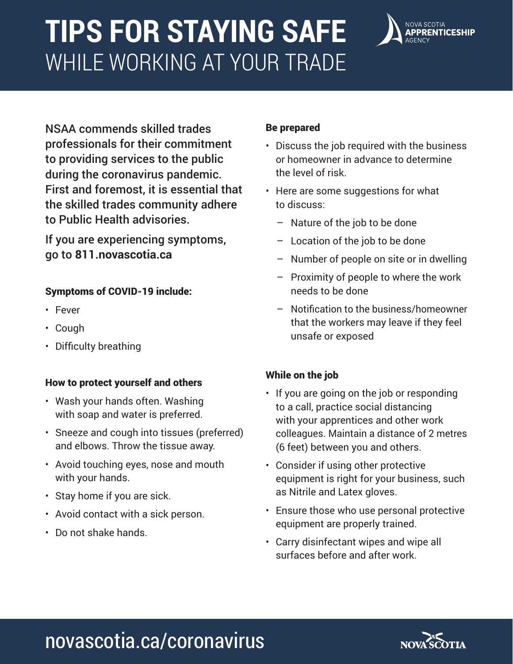# **TIPS FOR STAYING SAFE**  WHILE WORKING AT YOUR TRADE



NSAA commends skilled trades professionals for their commitment to providing services to the public during the coronavirus pandemic. First and foremost, it is essential that the skilled trades community adhere to Public Health advisories.

If you are experiencing symptoms, go to **811.novascotia.ca**

#### Symptoms of COVID-19 include:

- Fever
- Cough
- Difficulty breathing

#### How to protect yourself and others

- Wash your hands often. Washing with soap and water is preferred.
- Sneeze and cough into tissues (preferred) and elbows. Throw the tissue away.
- Avoid touching eyes, nose and mouth with your hands.
- Stay home if you are sick.
- Avoid contact with a sick person.
- Do not shake hands.

#### Be prepared

- Discuss the job required with the business or homeowner in advance to determine the level of risk.
- Here are some suggestions for what to discuss:
	- Nature of the job to be done
	- Location of the job to be done
	- Number of people on site or in dwelling
	- Proximity of people to where the work needs to be done
	- Notification to the business/homeowner that the workers may leave if they feel unsafe or exposed

#### While on the job

- If you are going on the job or responding to a call, practice social distancing with your apprentices and other work colleagues. Maintain a distance of 2 metres (6 feet) between you and others.
- Consider if using other protective equipment is right for your business, such as Nitrile and Latex gloves.
- Ensure those who use personal protective equipment are properly trained.
- Carry disinfectant wipes and wipe all surfaces before and after work.

# novascotia.ca/coronavirus

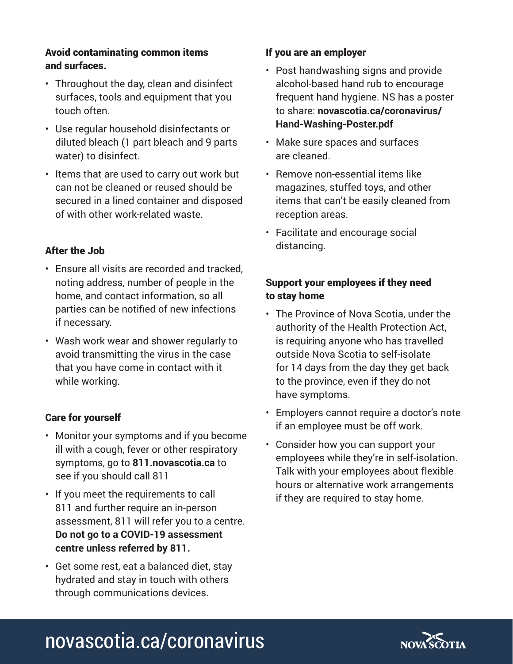#### Avoid contaminating common items and surfaces.

- Throughout the day, clean and disinfect surfaces, tools and equipment that you touch often.
- Use regular household disinfectants or diluted bleach (1 part bleach and 9 parts water) to disinfect.
- Items that are used to carry out work but can not be cleaned or reused should be secured in a lined container and disposed of with other work-related waste.

#### After the Job

- Ensure all visits are recorded and tracked, noting address, number of people in the home, and contact information, so all parties can be notified of new infections if necessary.
- Wash work wear and shower regularly to avoid transmitting the virus in the case that you have come in contact with it while working.

#### Care for yourself

- Monitor your symptoms and if you become ill with a cough, fever or other respiratory symptoms, go to **811.novascotia.ca** to see if you should call 811
- If you meet the requirements to call 811 and further require an in-person assessment, 811 will refer you to a centre. **Do not go to a COVID-19 assessment centre unless referred by 811.**
- Get some rest, eat a balanced diet, stay hydrated and stay in touch with others through communications devices.

#### If you are an employer

- Post handwashing signs and provide alcohol-based hand rub to encourage frequent hand hygiene. NS has a poster to share: **novascotia.ca/coronavirus/ Hand-Washing-Poster.pdf**
- Make sure spaces and surfaces are cleaned.
- Remove non-essential items like magazines, stuffed toys, and other items that can't be easily cleaned from reception areas.
- Facilitate and encourage social distancing.

#### Support your employees if they need to stay home

- The Province of Nova Scotia, under the authority of the Health Protection Act, is requiring anyone who has travelled outside Nova Scotia to self-isolate for 14 days from the day they get back to the province, even if they do not have symptoms.
- Employers cannot require a doctor's note if an employee must be off work.
- Consider how you can support your employees while they're in self-isolation. Talk with your employees about flexible hours or alternative work arrangements if they are required to stay home.

## novascotia.ca/coronavirus